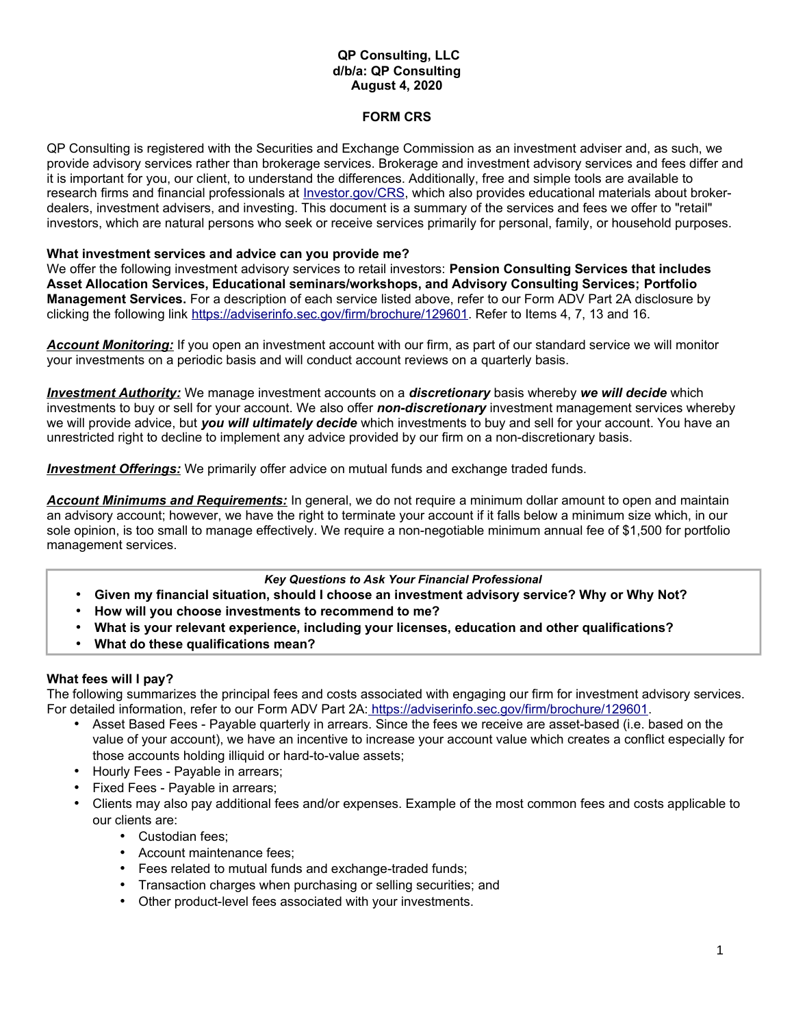### **QP Consulting, LLC d/b/a: QP Consulting August 4, 2020**

# **FORM CRS**

QP Consulting is registered with the Securities and Exchange Commission as an investment adviser and, as such, we provide advisory services rather than brokerage services. Brokerage and investment advisory services and fees differ and it is important for you, our client, to understand the differences. Additionally, free and simple tools are available to research firms and financial professionals at *Investor.gov/CRS*, which also provides educational materials about brokerdealers, investment advisers, and investing. This document is a summary of the services and fees we offer to "retail" investors, which are natural persons who seek or receive services primarily for personal, family, or household purposes.

### **What investment services and advice can you provide me?**

We offer the following investment advisory services to retail investors: **Pension Consulting Services that includes Asset Allocation Services, Educational seminars/workshops, and Advisory Consulting Services; Portfolio Management Services.** For a description of each service listed above, refer to our Form ADV Part 2A disclosure by clicking the following link [https://adviserinfo.sec.gov/firm/brochure/129601.](https://adviserinfo.sec.gov/firm/brochure/129601) Refer to Items 4, 7, 13 and 16.

*Account Monitoring:* If you open an investment account with our firm, as part of our standard service we will monitor your investments on a periodic basis and will conduct account reviews on a quarterly basis.

 *Investment Authority :* We manage investment accounts on a *discretionary* basis whereby *we will decide* which investments to buy or sell for your account. We also offer *non-discretionary* investment management services whereby we will provide advice, but *you will ultimately decide* which investments to buy and sell for your account. You have an unrestricted right to decline to implement any advice provided by our firm on a non-discretionary basis.

*Investment Offerings:* We primarily offer advice on mutual funds and exchange traded funds.

*Account Minimums and Requirements:* In general, we do not require a minimum dollar amount to open and maintain an advisory account; however, we have the right to terminate your account if it falls below a minimum size which, in our sole opinion, is too small to manage effectively. We require a non-negotiable minimum annual fee of \$1,500 for portfolio management services.

#### *Key Questions to Ask Your Financial Professional*

- **Given my financial situation, should I choose an investment advisory service? Why or Why Not?**
- **How will you choose investments to recommend to me?**
- **What is your relevant experience, including your licenses, education and other qualifications?**
- **What do these qualifications mean?**

### **What fees will I pay?**

The following summarizes the principal fees and costs associated with engaging our firm for investment advisory services. For detailed information, refer to our Form ADV Part 2A[: https://adviserinfo.sec.gov/firm/brochure/129601.](https://adviserinfo.sec.gov/firm/brochure/129601)

- Asset Based Fees Payable quarterly in arrears. Since the fees we receive are asset-based (i.e. based on the value of your account), we have an incentive to increase your account value which creates a conflict especially for those accounts holding illiquid or hard-to-value assets;
- Hourly Fees Payable in arrears;
- Fixed Fees Payable in arrears;
- Clients may also pay additional fees and/or expenses. Example of the most common fees and costs applicable to our clients are:
	- Custodian fees;
	- Account maintenance fees;
	- Fees related to mutual funds and exchange-traded funds;
	- Transaction charges when purchasing or selling securities; and
	- Other product-level fees associated with your investments.